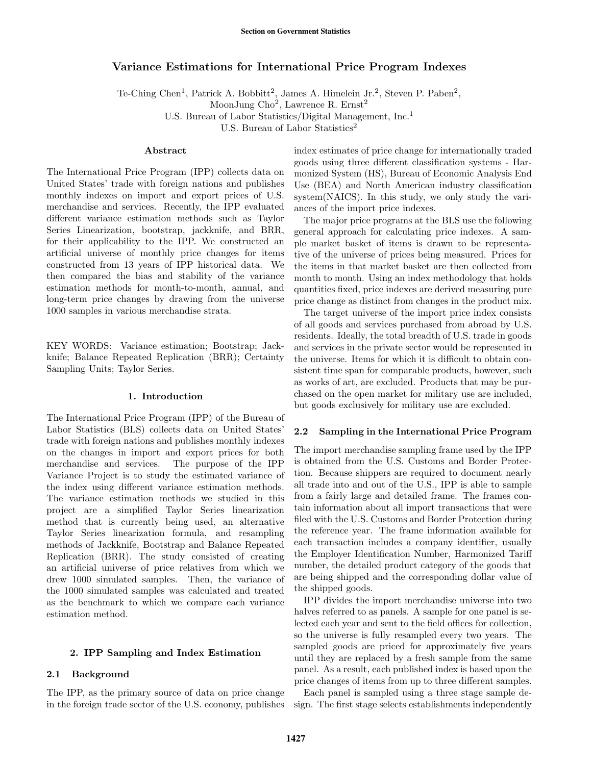# Variance Estimations for International Price Program Indexes

Te-Ching Chen<sup>1</sup>, Patrick A. Bobbitt<sup>2</sup>, James A. Himelein Jr.<sup>2</sup>, Steven P. Paben<sup>2</sup>,

MoonJung Cho<sup>2</sup>, Lawrence R. Ernst<sup>2</sup>

U.S. Bureau of Labor Statistics/Digital Management, Inc.<sup>1</sup>

U.S. Bureau of Labor Statistics<sup>2</sup>

## Abstract

The International Price Program (IPP) collects data on United States' trade with foreign nations and publishes monthly indexes on import and export prices of U.S. merchandise and services. Recently, the IPP evaluated different variance estimation methods such as Taylor Series Linearization, bootstrap, jackknife, and BRR, for their applicability to the IPP. We constructed an artificial universe of monthly price changes for items constructed from 13 years of IPP historical data. We then compared the bias and stability of the variance estimation methods for month-to-month, annual, and long-term price changes by drawing from the universe 1000 samples in various merchandise strata.

KEY WORDS: Variance estimation; Bootstrap; Jackknife; Balance Repeated Replication (BRR); Certainty Sampling Units; Taylor Series.

## 1. Introduction

The International Price Program (IPP) of the Bureau of Labor Statistics (BLS) collects data on United States' trade with foreign nations and publishes monthly indexes on the changes in import and export prices for both merchandise and services. The purpose of the IPP Variance Project is to study the estimated variance of the index using different variance estimation methods. The variance estimation methods we studied in this project are a simplified Taylor Series linearization method that is currently being used, an alternative Taylor Series linearization formula, and resampling methods of Jackknife, Bootstrap and Balance Repeated Replication (BRR). The study consisted of creating an artificial universe of price relatives from which we drew 1000 simulated samples. Then, the variance of the 1000 simulated samples was calculated and treated as the benchmark to which we compare each variance estimation method.

# 2. IPP Sampling and Index Estimation

# 2.1 Background

The IPP, as the primary source of data on price change in the foreign trade sector of the U.S. economy, publishes index estimates of price change for internationally traded goods using three different classification systems - Harmonized System (HS), Bureau of Economic Analysis End Use (BEA) and North American industry classification system(NAICS). In this study, we only study the variances of the import price indexes.

The major price programs at the BLS use the following general approach for calculating price indexes. A sample market basket of items is drawn to be representative of the universe of prices being measured. Prices for the items in that market basket are then collected from month to month. Using an index methodology that holds quantities fixed, price indexes are derived measuring pure price change as distinct from changes in the product mix.

The target universe of the import price index consists of all goods and services purchased from abroad by U.S. residents. Ideally, the total breadth of U.S. trade in goods and services in the private sector would be represented in the universe. Items for which it is difficult to obtain consistent time span for comparable products, however, such as works of art, are excluded. Products that may be purchased on the open market for military use are included, but goods exclusively for military use are excluded.

## 2.2 Sampling in the International Price Program

The import merchandise sampling frame used by the IPP is obtained from the U.S. Customs and Border Protection. Because shippers are required to document nearly all trade into and out of the U.S., IPP is able to sample from a fairly large and detailed frame. The frames contain information about all import transactions that were filed with the U.S. Customs and Border Protection during the reference year. The frame information available for each transaction includes a company identifier, usually the Employer Identification Number, Harmonized Tariff number, the detailed product category of the goods that are being shipped and the corresponding dollar value of the shipped goods.

IPP divides the import merchandise universe into two halves referred to as panels. A sample for one panel is selected each year and sent to the field offices for collection, so the universe is fully resampled every two years. The sampled goods are priced for approximately five years until they are replaced by a fresh sample from the same panel. As a result, each published index is based upon the price changes of items from up to three different samples.

Each panel is sampled using a three stage sample design. The first stage selects establishments independently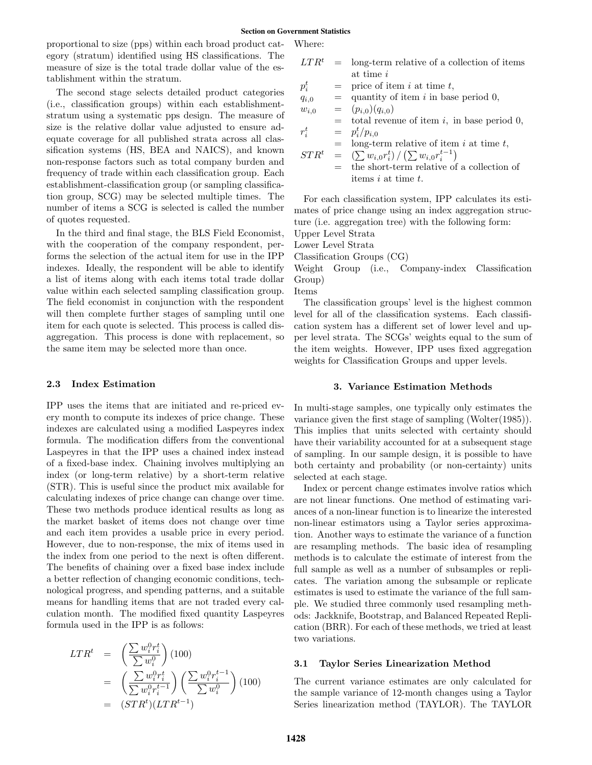proportional to size (pps) within each broad product category (stratum) identified using HS classifications. The measure of size is the total trade dollar value of the establishment within the stratum.

The second stage selects detailed product categories (i.e., classification groups) within each establishmentstratum using a systematic pps design. The measure of size is the relative dollar value adjusted to ensure adequate coverage for all published strata across all classification systems (HS, BEA and NAICS), and known non-response factors such as total company burden and frequency of trade within each classification group. Each establishment-classification group (or sampling classification group, SCG) may be selected multiple times. The number of items a SCG is selected is called the number of quotes requested.

In the third and final stage, the BLS Field Economist, with the cooperation of the company respondent, performs the selection of the actual item for use in the IPP indexes. Ideally, the respondent will be able to identify a list of items along with each items total trade dollar value within each selected sampling classification group. The field economist in conjunction with the respondent will then complete further stages of sampling until one item for each quote is selected. This process is called disaggregation. This process is done with replacement, so the same item may be selected more than once.

#### 2.3 Index Estimation

IPP uses the items that are initiated and re-priced every month to compute its indexes of price change. These indexes are calculated using a modified Laspeyres index formula. The modification differs from the conventional Laspeyres in that the IPP uses a chained index instead of a fixed-base index. Chaining involves multiplying an index (or long-term relative) by a short-term relative (STR). This is useful since the product mix available for calculating indexes of price change can change over time. These two methods produce identical results as long as the market basket of items does not change over time and each item provides a usable price in every period. However, due to non-response, the mix of items used in the index from one period to the next is often different. The benefits of chaining over a fixed base index include a better reflection of changing economic conditions, technological progress, and spending patterns, and a suitable means for handling items that are not traded every calculation month. The modified fixed quantity Laspeyres formula used in the IPP is as follows:

$$
LTR^{t} = \left(\frac{\sum w_{i}^{0} r_{i}^{t}}{\sum w_{i}^{0}}\right) (100)
$$
  
= 
$$
\left(\frac{\sum w_{i}^{0} r_{i}^{t}}{\sum w_{i}^{0} r_{i}^{t-1}}\right) \left(\frac{\sum w_{i}^{0} r_{i}^{t-1}}{\sum w_{i}^{0}}\right) (100)
$$
  
= 
$$
(STR^{t})(LTR^{t-1})
$$

Where:

- $LTR<sup>t</sup>$  = long-term relative of a collection of items at time i
- $p_i^t$  $=$  price of item i at time t,
- $q_{i,0}$  = quantity of item i in base period 0,

$$
w_{i,0} = (p_{i,0})(q_{i,0})
$$
  
= total revenue of item *i*, in base period 0,  

$$
r_i^t = p_i^t / p_{i,0}
$$

$$
r_i^t = p_i^t / p_{i,0}
$$
  
= long-term relative of item *i* at time *t*,  

$$
STR^t = (\sum w_{i,0} r_i^t) / (\sum w_{i,0} r_i^{t-1})
$$

= the short-term relative of a collection of items i at time t.

For each classification system, IPP calculates its estimates of price change using an index aggregation structure (i.e. aggregation tree) with the following form:

Upper Level Strata

Lower Level Strata

Classification Groups (CG)

Weight Group (i.e., Company-index Classification Group)

Items

The classification groups' level is the highest common level for all of the classification systems. Each classification system has a different set of lower level and upper level strata. The SCGs' weights equal to the sum of the item weights. However, IPP uses fixed aggregation weights for Classification Groups and upper levels.

#### 3. Variance Estimation Methods

In multi-stage samples, one typically only estimates the variance given the first stage of sampling (Wolter(1985)). This implies that units selected with certainty should have their variability accounted for at a subsequent stage of sampling. In our sample design, it is possible to have both certainty and probability (or non-certainty) units selected at each stage.

Index or percent change estimates involve ratios which are not linear functions. One method of estimating variances of a non-linear function is to linearize the interested non-linear estimators using a Taylor series approximation. Another ways to estimate the variance of a function are resampling methods. The basic idea of resampling methods is to calculate the estimate of interest from the full sample as well as a number of subsamples or replicates. The variation among the subsample or replicate estimates is used to estimate the variance of the full sample. We studied three commonly used resampling methods: Jackknife, Bootstrap, and Balanced Repeated Replication (BRR). For each of these methods, we tried at least two variations.

## 3.1 Taylor Series Linearization Method

The current variance estimates are only calculated for the sample variance of 12-month changes using a Taylor Series linearization method (TAYLOR). The TAYLOR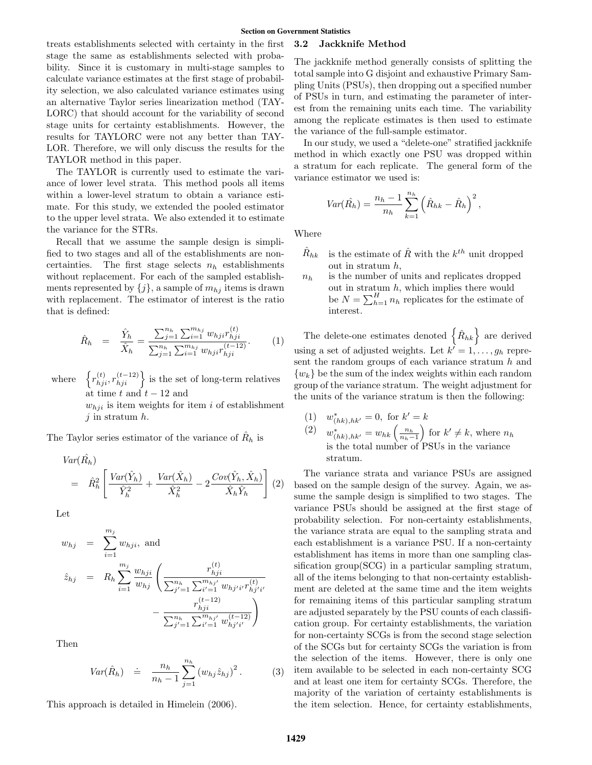treats establishments selected with certainty in the first stage the same as establishments selected with probability. Since it is customary in multi-stage samples to calculate variance estimates at the first stage of probability selection, we also calculated variance estimates using an alternative Taylor series linearization method (TAY-LORC) that should account for the variability of second stage units for certainty establishments. However, the results for TAYLORC were not any better than TAY-LOR. Therefore, we will only discuss the results for the TAYLOR method in this paper.

The TAYLOR is currently used to estimate the variance of lower level strata. This method pools all items within a lower-level stratum to obtain a variance estimate. For this study, we extended the pooled estimator to the upper level strata. We also extended it to estimate the variance for the STRs.

Recall that we assume the sample design is simplified to two stages and all of the establishments are noncertainties. The first stage selects  $n_h$  establishments without replacement. For each of the sampled establishments represented by  $\{j\}$ , a sample of  $m_{hj}$  items is drawn with replacement. The estimator of interest is the ratio that is defined:

$$
\hat{R}_h = \frac{\hat{Y}_h}{\hat{X}_h} = \frac{\sum_{j=1}^{n_h} \sum_{i=1}^{m_{hj}} w_{hji} r_{hji}^{(t)}}{\sum_{j=1}^{n_h} \sum_{i=1}^{m_{hj}} w_{hji} r_{hji}^{(t-12)}}.
$$
 (1)

where  $\{r_{hji}^{(t)}, r_{hji}^{(t-12)}\}$  is the set of long-term relatives at time t and  $t - 12$  and

 $w_{hji}$  is item weights for item i of establishment  $j$  in stratum  $h$ .

The Taylor series estimator of the variance of  $\hat{R}_h$  is

$$
Var(\hat{R_h}) = \hat{R}_h^2 \left[ \frac{Var(\hat{Y}_h)}{\hat{Y}_h^2} + \frac{Var(\hat{X}_h)}{\hat{X}_h^2} - 2 \frac{Cov(\hat{Y}_h, \hat{X}_h)}{\hat{X}_h \hat{Y}_h} \right] (2)
$$

Let

$$
w_{hj} = \sum_{i=1}^{m_j} w_{hji}, \text{ and}
$$
  
\n
$$
\hat{z}_{hj} = R_h \sum_{i=1}^{m_j} \frac{w_{hji}}{w_{hj}} \left( \frac{r_{hji}^{(t)}}{\sum_{j'=1}^{n_h} \sum_{i'=1}^{m_{hj'}} w_{hj'i'} r_{hj'i'}^{(t)}} - \frac{r_{hji}^{(t-12)}}{\sum_{j'=1}^{n_h} \sum_{i'=1}^{m_{hj'}} w_{hj'i'}^{(t-12)}} \right)
$$

Then

$$
Var(\hat{R}_h) \quad \doteq \quad \frac{n_h}{n_h - 1} \sum_{j=1}^{n_h} \left( w_{hj} \hat{z}_{hj} \right)^2. \tag{3}
$$

This approach is detailed in Himelein (2006).

#### 3.2 Jackknife Method

The jackknife method generally consists of splitting the total sample into G disjoint and exhaustive Primary Sampling Units (PSUs), then dropping out a specified number of PSUs in turn, and estimating the parameter of interest from the remaining units each time. The variability among the replicate estimates is then used to estimate the variance of the full-sample estimator.

In our study, we used a "delete-one" stratified jackknife method in which exactly one PSU was dropped within a stratum for each replicate. The general form of the variance estimator we used is:

$$
Var(\hat{R_h}) = \frac{n_h - 1}{n_h} \sum_{k=1}^{n_h} (\hat{R}_{hk} - \hat{R}_h)^2
$$
,

Where

- $R_{hk}$ hk is the estimate of  $\hat{R}$  with the  $k^{th}$  unit dropped out in stratum  $h$ ,
- $n_h$  is the number of units and replicates dropped out in stratum  $h$ , which implies there would be  $N = \sum_{h=1}^{H} n_h$  replicates for the estimate of interest.

The delete-one estimates denoted  $\{R_{hk}\}$  are derived using a set of adjusted weights. Let  $k' = 1, \ldots, g_h$  represent the random groups of each variance stratum  $h$  and  ${w_k}$  be the sum of the index weights within each random group of the variance stratum. The weight adjustment for the units of the variance stratum is then the following:

- (1)  $w^*_{(hk),hk'} = 0$ , for  $k' = k$
- (2)  $w^*_{(hk),hk'} = w_{hk} \left( \frac{n_h}{n_h-1} \right)$  for  $k' \neq k$ , where  $n_h$ is the total number of PSUs in the variance stratum.

The variance strata and variance PSUs are assigned based on the sample design of the survey. Again, we assume the sample design is simplified to two stages. The variance PSUs should be assigned at the first stage of probability selection. For non-certainty establishments, the variance strata are equal to the sampling strata and each establishment is a variance PSU. If a non-certainty establishment has items in more than one sampling classification group(SCG) in a particular sampling stratum, all of the items belonging to that non-certainty establishment are deleted at the same time and the item weights for remaining items of this particular sampling stratum are adjusted separately by the PSU counts of each classification group. For certainty establishments, the variation for non-certainty SCGs is from the second stage selection of the SCGs but for certainty SCGs the variation is from the selection of the items. However, there is only one item available to be selected in each non-certainty SCG and at least one item for certainty SCGs. Therefore, the majority of the variation of certainty establishments is the item selection. Hence, for certainty establishments,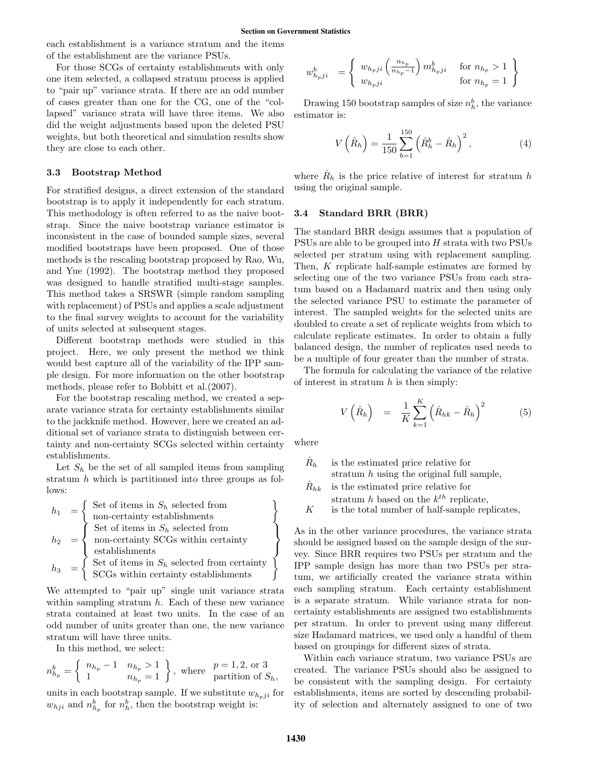each establishment is a variance stratum and the items of the establishment are the variance PSUs.

For those SCGs of certainty establishments with only one item selected, a collapsed stratum process is applied to "pair up" variance strata. If there are an odd number of cases greater than one for the CG, one of the "collapsed" variance strata will have three items. We also did the weight adjustments based upon the deleted PSU weights, but both theoretical and simulation results show they are close to each other.

#### 3.3 Bootstrap Method

For stratified designs, a direct extension of the standard bootstrap is to apply it independently for each stratum. This methodology is often referred to as the naive bootstrap. Since the naive bootstrap variance estimator is inconsistent in the case of bounded sample sizes, several modified bootstraps have been proposed. One of those methods is the rescaling bootstrap proposed by Rao, Wu, and Yue (1992). The bootstrap method they proposed was designed to handle stratified multi-stage samples. This method takes a SRSWR (simple random sampling with replacement) of PSUs and applies a scale adjustment to the final survey weights to account for the variability of units selected at subsequent stages.

Different bootstrap methods were studied in this project. Here, we only present the method we think would best capture all of the variability of the IPP sample design. For more information on the other bootstrap methods, please refer to Bobbitt et al.(2007).

For the bootstrap rescaling method, we created a separate variance strata for certainty establishments similar to the jackknife method. However, here we created an additional set of variance strata to distinguish between certainty and non-certainty SCGs selected within certainty establishments.

Let  $S_h$  be the set of all sampled items from sampling stratum  $h$  which is partitioned into three groups as follows:

$$
h_1 = \left\{\begin{array}{l}\text{Set of items in } S_h \text{ selected from} \\ \text{non-certainty establishes} \\ \text{Set of items in } S_h \text{ selected from} \\ \text{non-certainty SCGs within certainty} \\ \text{establishments} \\ h_3 = \left\{\begin{array}{l}\text{Set of items in } S_h \text{ selected from} \\ \text{Set of items in } S_h \text{ selected from certainty} \\ \text{SCGs within certainty establishes} \end{array}\right\}\right\}
$$

We attempted to "pair up" single unit variance strata within sampling stratum  $h$ . Each of these new variance strata contained at least two units. In the case of an odd number of units greater than one, the new variance stratum will have three units.

In this method, we select:

$$
n_{h_p}^b = \begin{cases} n_{h_p} - 1 & n_{h_p} > 1 \\ 1 & n_{h_p} = 1 \end{cases}
$$
, where  $p = 1, 2$ , or  $3$  partition of  $S_h$ ,

units in each bootstrap sample. If we substitute  $w_{h_pji}$  for  $w_{hji}$  and  $n_{h_p}^b$  for  $n_h^b$ , then the bootstrap weight is:

$$
w_{h_pji}^b = \begin{cases} w_{h_pji} \left( \frac{n_{h_p}}{n_{h_p} - 1} \right) m_{h_pji}^b & \text{for } n_{h_p} > 1 \\ w_{h_pji} & \text{for } n_{h_p} = 1 \end{cases}
$$

Drawing 150 bootstrap samples of size  $n_h^b$ , the variance estimator is:

$$
V\left(\hat{R}_h\right) = \frac{1}{150} \sum_{b=1}^{150} \left(\hat{R}_h^b - \hat{R}_h\right)^2, \tag{4}
$$

where  $\hat{R}_h$  is the price relative of interest for stratum h using the original sample.

### 3.4 Standard BRR (BRR)

The standard BRR design assumes that a population of PSUs are able to be grouped into  $H$  strata with two PSUs selected per stratum using with replacement sampling. Then, K replicate half-sample estimates are formed by selecting one of the two variance PSUs from each stratum based on a Hadamard matrix and then using only the selected variance PSU to estimate the parameter of interest. The sampled weights for the selected units are doubled to create a set of replicate weights from which to calculate replicate estimates. In order to obtain a fully balanced design, the number of replicates used needs to be a multiple of four greater than the number of strata.

The formula for calculating the variance of the relative of interest in stratum  $h$  is then simply:

$$
V\left(\hat{R}_h\right) = \frac{1}{K} \sum_{k=1}^K \left(\hat{R}_{hk} - \hat{R}_h\right)^2 \tag{5}
$$

where

 $\hat{R}_h$ is the estimated price relative for stratum  $h$  using the original full sample,  $R_{hk}$ is the estimated price relative for stratum  $h$  based on the  $k^{th}$  replicate,  $K$  is the total number of half-sample replicates,

As in the other variance procedures, the variance strata should be assigned based on the sample design of the sur-

vey. Since BRR requires two PSUs per stratum and the IPP sample design has more than two PSUs per stratum, we artificially created the variance strata within each sampling stratum. Each certainty establishment is a separate stratum. While variance strata for noncertainty establishments are assigned two establishments per stratum. In order to prevent using many different size Hadamard matrices, we used only a handful of them based on groupings for different sizes of strata.

Within each variance stratum, two variance PSUs are created. The variance PSUs should also be assigned to be consistent with the sampling design. For certainty establishments, items are sorted by descending probability of selection and alternately assigned to one of two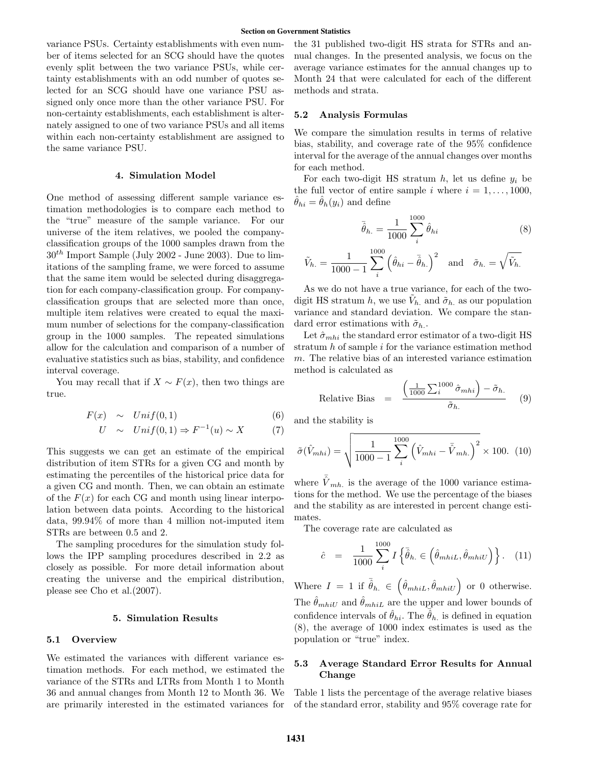variance PSUs. Certainty establishments with even number of items selected for an SCG should have the quotes evenly split between the two variance PSUs, while certainty establishments with an odd number of quotes selected for an SCG should have one variance PSU assigned only once more than the other variance PSU. For non-certainty establishments, each establishment is alternately assigned to one of two variance PSUs and all items within each non-certainty establishment are assigned to the same variance PSU.

#### 4. Simulation Model

One method of assessing different sample variance estimation methodologies is to compare each method to the "true" measure of the sample variance. For our universe of the item relatives, we pooled the companyclassification groups of the 1000 samples drawn from the  $30<sup>th</sup>$  Import Sample (July 2002 - June 2003). Due to limitations of the sampling frame, we were forced to assume that the same item would be selected during disaggregation for each company-classification group. For companyclassification groups that are selected more than once, multiple item relatives were created to equal the maximum number of selections for the company-classification group in the 1000 samples. The repeated simulations allow for the calculation and comparison of a number of evaluative statistics such as bias, stability, and confidence interval coverage.

You may recall that if  $X \sim F(x)$ , then two things are true.

$$
F(x) \sim Unif(0,1) \tag{6}
$$

$$
U \sim Unif(0,1) \Rightarrow F^{-1}(u) \sim X \tag{7}
$$

This suggests we can get an estimate of the empirical distribution of item STRs for a given CG and month by estimating the percentiles of the historical price data for a given CG and month. Then, we can obtain an estimate of the  $F(x)$  for each CG and month using linear interpolation between data points. According to the historical data, 99.94% of more than 4 million not-imputed item STRs are between 0.5 and 2.

The sampling procedures for the simulation study follows the IPP sampling procedures described in 2.2 as closely as possible. For more detail information about creating the universe and the empirical distribution, please see Cho et al.(2007).

## 5. Simulation Results

## 5.1 Overview

We estimated the variances with different variance estimation methods. For each method, we estimated the variance of the STRs and LTRs from Month 1 to Month 36 and annual changes from Month 12 to Month 36. We are primarily interested in the estimated variances for the 31 published two-digit HS strata for STRs and annual changes. In the presented analysis, we focus on the average variance estimates for the annual changes up to Month 24 that were calculated for each of the different methods and strata.

#### 5.2 Analysis Formulas

We compare the simulation results in terms of relative bias, stability, and coverage rate of the 95% confidence interval for the average of the annual changes over months for each method.

For each two-digit HS stratum  $h$ , let us define  $y_i$  be the full vector of entire sample i where  $i = 1, \ldots, 1000$ ,  $\hat{\theta}_{hi} = \hat{\theta}_h(y_i)$  and define

$$
\bar{\hat{\theta}}_{h.} = \frac{1}{1000} \sum_{i}^{1000} \hat{\theta}_{hi} \tag{8}
$$

$$
\tilde{V}_{h.} = \frac{1}{1000 - 1} \sum_{i}^{1000} \left( \hat{\theta}_{hi} - \bar{\hat{\theta}}_{h.} \right)^2 \quad \text{and} \quad \tilde{\sigma}_{h.} = \sqrt{\tilde{V}_{h.}}
$$

As we do not have a true variance, for each of the twodigit HS stratum h, we use  $\tilde{V}_{h.}$  and  $\tilde{\sigma}_{h.}$  as our population variance and standard deviation. We compare the standard error estimations with  $\tilde{\sigma}_{h}$ .

Let  $\hat{\sigma}_{mhi}$  the standard error estimator of a two-digit HS stratum  $h$  of sample  $i$  for the variance estimation method m. The relative bias of an interested variance estimation method is calculated as

Relative Bias = 
$$
\frac{\left(\frac{1}{1000} \sum_{i}^{1000} \hat{\sigma}_{mhi}\right) - \tilde{\sigma}_{h.}}{\tilde{\sigma}_{h.}}
$$
 (9)

and the stability is

$$
\tilde{\sigma}(\hat{V}_{mhi}) = \sqrt{\frac{1}{1000 - 1} \sum_{i}^{1000} (\hat{V}_{mhi} - \bar{\hat{V}}_{mhi})^2} \times 100. (10)
$$

where  $\bar{\hat{V}}_{mh.}$  is the average of the 1000 variance estimations for the method. We use the percentage of the biases and the stability as are interested in percent change estimates.

The coverage rate are calculated as

$$
\hat{c} = \frac{1}{1000} \sum_{i}^{1000} I\left\{\bar{\hat{\theta}}_{h.} \in \left(\hat{\theta}_{mhiL}, \hat{\theta}_{mhiU}\right)\right\}.
$$
 (11)

Where  $I = 1$  if  $\hat{\theta}_{h.} \in (\hat{\theta}_{mhiL}, \hat{\theta}_{mhiU})$  or 0 otherwise. The  $\hat{\theta}_{mhiU}$  and  $\hat{\theta}_{mhiL}$  are the upper and lower bounds of confidence intervals of  $\hat{\theta}_{hi}$ . The  $\hat{\theta}_h$  is defined in equation (8), the average of 1000 index estimates is used as the population or "true" index.

# 5.3 Average Standard Error Results for Annual Change

Table 1 lists the percentage of the average relative biases of the standard error, stability and 95% coverage rate for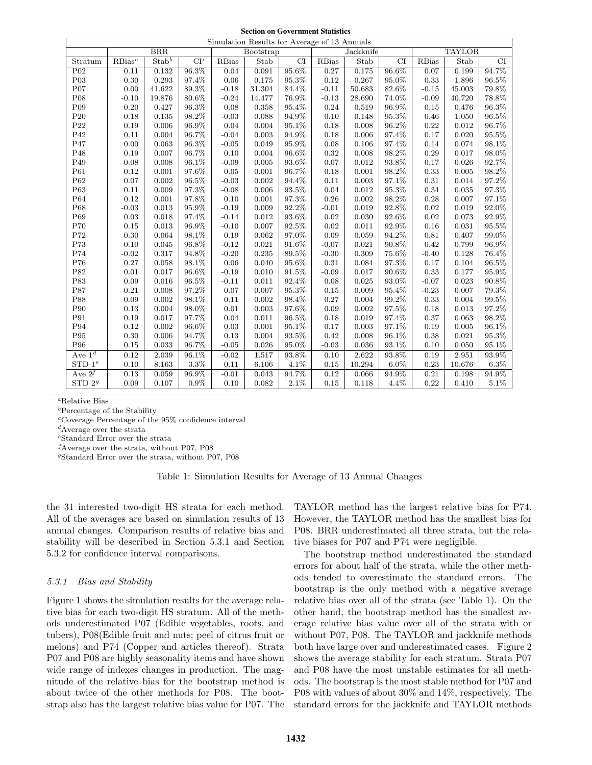| Simulation Results for Average of 13 Annuals                                                                                      |          |  |
|-----------------------------------------------------------------------------------------------------------------------------------|----------|--|
| $\overline{\text{BRR}}$<br>Jackknife<br><b>TAYLOR</b><br>Bootstrap                                                                |          |  |
| $Stab^b$<br>$RBias^a$<br>$\overline{\text{CI}^c}$<br>RBias<br>CI<br>RBias<br>CI<br>RBias<br>Stratum<br>Stab<br>Stab<br>Stab       | CI       |  |
| 95.6%<br>96.6%<br>$P_{02}$<br>0.132<br>96.3%<br>0.091<br>0.27<br>0.175<br>0.199<br>0.04<br>0.07                                   | 94.7%    |  |
| 0.11                                                                                                                              |          |  |
| P03<br>$95.3\%$<br>$0.30\,$<br>0.293<br>97.4%<br>0.06<br>0.175<br>0.12<br>0.267<br>95.0%<br>0.33<br>1.896                         | $96.5\%$ |  |
| $89.3\%$<br>$P_{07}$<br>0.00<br>41.622<br>$-0.18$<br>31.304<br>84.4%<br>$-0.11$<br>50.683<br>82.6%<br>$-0.15$<br>45.003           | $79.8\%$ |  |
| P <sub>08</sub><br>80.6%<br>$76.9\%$<br>$-0.10$<br>19.876<br>$-0.24$<br>14.477<br>$-0.13$<br>28.690<br>74.0%<br>$-0.09$<br>40.720 | $78.8\%$ |  |
| P <sub>09</sub><br>96.3%<br>0.08<br>96.9%<br>0.20<br>0.427<br>0.358<br>95.4%<br>0.24<br>0.519<br>0.15<br>0.476                    | 96.3%    |  |
| P20<br>98.2%<br>0.18<br>0.135<br>$-0.03$<br>0.088<br>94.9%<br>0.10<br>95.3%<br>1.050<br>0.148<br>0.46                             | $96.5\%$ |  |
| P22<br>96.9%<br>0.22<br>0.19<br>0.006<br>0.04<br>0.004<br>95.1%<br>0.18<br>0.008<br>96.2%<br>0.012                                | 96.7%    |  |
| P42<br>0.11<br>96.7%<br>0.003<br>94.9%<br>0.17<br>0.004<br>$-0.04$<br>0.18<br>0.006<br>97.4%<br>0.020                             | 95.5%    |  |
| P47<br>$96.3\%$<br>0.00<br>0.063<br>95.9%<br>0.08<br>97.4%<br>0.074<br>$-0.05$<br>0.049<br>0.106<br>0.14                          | 98.1%    |  |
| P48<br>0.19<br>96.7%<br>0.004<br>96.6%<br>0.32<br>98.2%<br>0.29<br>0.007<br>0.10<br>0.008<br>0.017                                | 98.0%    |  |
| P49<br>0.08<br>0.008<br>96.1%<br>$-0.09$<br>0.005<br>93.6%<br>0.07<br>93.8%<br>0.17<br>0.026<br>0.012                             | 92.7%    |  |
| P61<br>97.6%<br>96.7%<br>0.12<br>$0.001\,$<br>0.05<br>0.001<br>0.18<br>98.2%<br>0.33<br>0.005<br>0.001                            | $98.2\%$ |  |
| P62<br>0.07<br>96.5%<br>94.4%<br>97.1%<br>0.31<br>0.002<br>$-0.03$<br>0.002<br>0.11<br>0.003<br>0.014                             | 97.2%    |  |
| 97.3%<br>93.5%<br>P63<br>0.11<br>0.009<br>$-0.08$<br>0.006<br>0.04<br>95.3%<br>0.34<br>0.035<br>0.012                             | 97.3%    |  |
| 97.8%<br>97.3%<br>98.2%<br>P <sub>64</sub><br>0.12<br>0.001<br>0.10<br>0.001<br>0.26<br>0.002<br>0.28<br>0.007                    | $97.1\%$ |  |
| P68<br>$-0.03$<br>95.9%<br>92.2%<br>92.8%<br>0.013<br>$-0.19$<br>0.009<br>$-0.01$<br>0.019<br>0.02<br>0.019                       | 92.0%    |  |
| 97.4%<br>93.6%<br>P69<br>0.03<br>0.012<br>0.02<br>92.6%<br>0.073<br>0.018<br>$-0.14$<br>0.030<br>0.02                             | 92.9%    |  |
| P70<br>96.9%<br>92.5%<br>92.9%<br>0.031<br>0.15<br>0.013<br>$-0.10$<br>0.007<br>0.02<br>0.011<br>0.16                             | $95.5\%$ |  |
| P72<br>98.1%<br>97.0%<br>0.09<br>94.2%<br>0.407<br>0.30<br>0.064<br>0.19<br>0.062<br>0.059<br>0.81                                | 99.0%    |  |
| P73<br>96.8%<br>$-0.12$<br>0.021<br>91.6%<br>$-0.07$<br>90.8%<br>0.799<br>0.10<br>0.045<br>0.021<br>0.42                          | $96.9\%$ |  |
| P74<br>94.8%<br>89.5%<br>$-0.02$<br>0.317<br>$-0.20$<br>0.235<br>$-0.30$<br>0.309<br>75.6%<br>$-0.40$<br>0.128                    | 76.4%    |  |
| P76<br>0.27<br>98.1%<br>0.040<br>95.6%<br>0.058<br>0.06<br>0.31<br>0.084<br>97.3%<br>0.17<br>0.104                                | 96.5%    |  |
| $\mathbf{P}82$<br>96.6%<br>0.01<br>0.010<br>91.5%<br>90.6%<br>0.33<br>0.177<br>0.017<br>$-0.19$<br>$-0.09$<br>0.017               | 95.9%    |  |
| $\mathbf{P}83$<br>$96.5\%$<br>0.09<br>0.016<br>$-0.11$<br>0.011<br>92.4%<br>0.08<br>0.025<br>93.0%<br>$-0.07$<br>0.023            | 90.8%    |  |
| 97.2%<br>P87<br>0.21<br>0.008<br>0.07<br>0.007<br>95.3%<br>95.4%<br>$-0.23$<br>0.007<br>0.15<br>0.009                             | $79.3\%$ |  |
| P88<br>0.09<br>0.002<br>98.1%<br>0.11<br>0.002<br>98.4%<br>0.27<br>99.2%<br>0.33<br>0.004<br>0.004                                | 99.5%    |  |
| P90<br>$98.0\%$<br>97.6%<br>0.13<br>0.004<br>0.01<br>0.09<br>97.5%<br>0.013<br>0.003<br>0.002<br>0.18                             | 97.2%    |  |
| P91<br>97.7%<br>96.5%<br>0.19<br>0.017<br>0.04<br>0.011<br>0.18<br>0.019<br>97.4%<br>0.37<br>0.063                                | 98.2%    |  |
| P94<br>0.12<br>96.6%<br>0.03<br>95.1%<br>0.17<br>97.1%<br>0.002<br>0.001<br>0.003<br>0.19<br>0.005                                | 96.1%    |  |
| 94.7%<br>93.5%<br>P95<br>0.30<br>0.006<br>0.13<br>0.004<br>0.42<br>96.1%<br>0.38<br>0.021<br>0.008                                | 95.3%    |  |
| P96<br>96.7%<br>95.0%<br>93.1%<br>0.15<br>0.033<br>$-0.05$<br>0.026<br>$-0.03$<br>0.036<br>0.10<br>0.050                          | 95.1%    |  |
| Ave $1^d$<br>93.8%<br>96.1%<br>2.622<br>93.8%<br>0.12<br>2.039<br>$-0.02$<br>1.517<br>0.10<br>0.19<br>2.951                       | 93.9%    |  |
| STD $1^e\,$<br>$3.3\%$<br>$4.1\%$<br>$6.0\%$<br>0.10<br>8.163<br>0.11<br>0.23<br>10.676<br>6.106<br>0.15<br>10.294                | $6.3\%$  |  |
| Ave $2^f$<br>0.13<br>96.9%<br>$-0.01$<br>0.043<br>94.7%<br>94.9%<br>0.21<br>0.059<br>0.12<br>0.066<br>0.198                       | 94.9%    |  |
| $2.1\%$<br>$4.4\%$<br>0.22<br>STD $2^g$<br>0.09<br>$0.9\%$<br>0.10<br>0.082<br>$0.15\,$<br>0.107<br>0.118<br>0.410                | $5.1\%$  |  |

 $\rm^a$ Relative Bias

 $<sup>b</sup>$ Percentage of the Stability</sup>

 $c$ <sup>c</sup>Coverage Percentage of the  $95\%$  confidence interval

 $d$ Average over the strata

<sup>e</sup>Standard Error over the strata

 $f$ Average over the strata, without P07, P08

<sup>g</sup>Standard Error over the strata, without P07, P08

Table 1: Simulation Results for Average of 13 Annual Changes

the 31 interested two-digit HS strata for each method. All of the averages are based on simulation results of 13 annual changes. Comparison results of relative bias and stability will be described in Section 5.3.1 and Section 5.3.2 for confidence interval comparisons.

## 5.3.1 Bias and Stability

Figure 1 shows the simulation results for the average relative bias for each two-digit HS stratum. All of the methods underestimated P07 (Edible vegetables, roots, and tubers), P08(Edible fruit and nuts; peel of citrus fruit or melons) and P74 (Copper and articles thereof). Strata P07 and P08 are highly seasonality items and have shown wide range of indexes changes in production. The magnitude of the relative bias for the bootstrap method is about twice of the other methods for P08. The bootstrap also has the largest relative bias value for P07. The TAYLOR method has the largest relative bias for P74. However, the TAYLOR method has the smallest bias for P08. BRR underestimated all three strata, but the relative biases for P07 and P74 were negligible.

The bootstrap method underestimated the standard errors for about half of the strata, while the other methods tended to overestimate the standard errors. The bootstrap is the only method with a negative average relative bias over all of the strata (see Table 1). On the other hand, the bootstrap method has the smallest average relative bias value over all of the strata with or without P07, P08. The TAYLOR and jackknife methods both have large over and underestimated cases. Figure 2 shows the average stability for each stratum. Strata P07 and P08 have the most unstable estimates for all methods. The bootstrap is the most stable method for P07 and P08 with values of about 30% and 14%, respectively. The standard errors for the jackknife and TAYLOR methods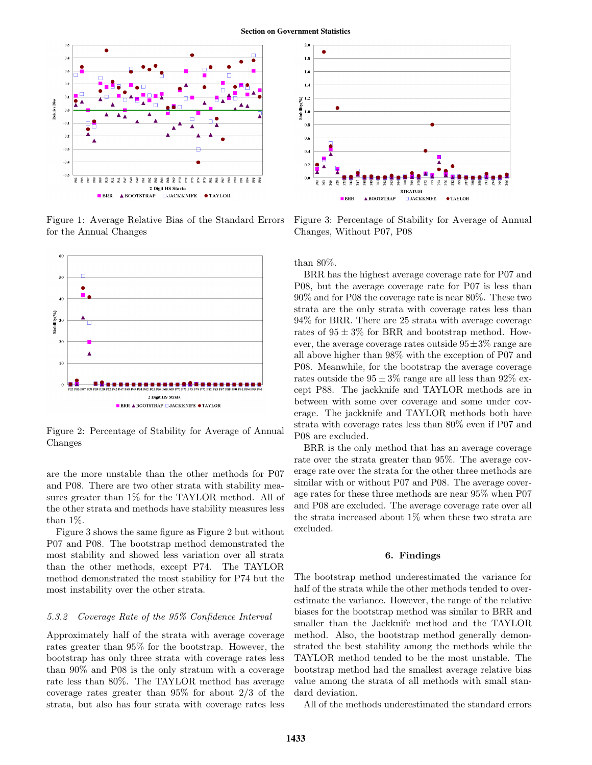

Figure 1: Average Relative Bias of the Standard Errors for the Annual Changes



Figure 2: Percentage of Stability for Average of Annual Changes

are the more unstable than the other methods for P07 and P08. There are two other strata with stability measures greater than 1% for the TAYLOR method. All of the other strata and methods have stability measures less than 1%.

Figure 3 shows the same figure as Figure 2 but without P07 and P08. The bootstrap method demonstrated the most stability and showed less variation over all strata than the other methods, except P74. The TAYLOR method demonstrated the most stability for P74 but the most instability over the other strata.

## 5.3.2 Coverage Rate of the 95% Confidence Interval

Approximately half of the strata with average coverage rates greater than 95% for the bootstrap. However, the bootstrap has only three strata with coverage rates less than 90% and P08 is the only stratum with a coverage rate less than 80%. The TAYLOR method has average coverage rates greater than 95% for about 2/3 of the strata, but also has four strata with coverage rates less



Figure 3: Percentage of Stability for Average of Annual Changes, Without P07, P08

than 80%.

BRR has the highest average coverage rate for P07 and P08, but the average coverage rate for P07 is less than 90% and for P08 the coverage rate is near 80%. These two strata are the only strata with coverage rates less than 94% for BRR. There are 25 strata with average coverage rates of  $95 \pm 3\%$  for BRR and bootstrap method. However, the average coverage rates outside  $95 \pm 3\%$  range are all above higher than 98% with the exception of P07 and P08. Meanwhile, for the bootstrap the average coverage rates outside the  $95 \pm 3\%$  range are all less than  $92\%$  except P88. The jackknife and TAYLOR methods are in between with some over coverage and some under coverage. The jackknife and TAYLOR methods both have strata with coverage rates less than 80% even if P07 and P08 are excluded.

BRR is the only method that has an average coverage rate over the strata greater than 95%. The average coverage rate over the strata for the other three methods are similar with or without P07 and P08. The average coverage rates for these three methods are near 95% when P07 and P08 are excluded. The average coverage rate over all the strata increased about 1% when these two strata are excluded.

## 6. Findings

The bootstrap method underestimated the variance for half of the strata while the other methods tended to overestimate the variance. However, the range of the relative biases for the bootstrap method was similar to BRR and smaller than the Jackknife method and the TAYLOR method. Also, the bootstrap method generally demonstrated the best stability among the methods while the TAYLOR method tended to be the most unstable. The bootstrap method had the smallest average relative bias value among the strata of all methods with small standard deviation.

All of the methods underestimated the standard errors